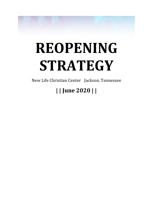

# **REOPENING STRATEGY**

New Life Christian Center Jackson, Tennessee

# **| | June 2020 | |**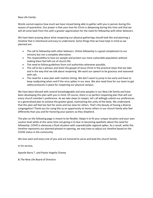New Life Family-

Words cannot express how much we have missed being able to gather with you in person during this season of quarantine. Our prayer is that your love for Christ is deepening during this time and that we will all come back from this with a greater appreciation for the need for fellowship with other believers.

We have been praying about what reopening our physical gatherings should look like and planning a timeline that is intentional and easy to understand. Some things that we have kept in mind as we planned are:

- The call to fellowship with other believers. Online fellowship is a good complement to our ministry but not a complete alternative.
- The responsibility to love our people and protect our more vulnerable population without making them feel left out of church life.
- The need to follow guidelines from civil authorities whenever possible.
- The call to be a witness and share the gospel of Jesus Christ in the practical steps that we take and in the way that we talk about reopening. We want our speech to be gracious and seasoned with salt.
- The need for a wise plan with realistic timing. We don't want to jump in too early and have to keep readjusting when and if the virus spikes in our area. We also need time for our team to get safety protocols in place for reopening our physical campus.

We have been blessed with several knowledgeable and wise peoples in our New Life family and have been developing this plan with you in mind. Of course, there is no perfect reopening plan that will suit every church member's preference. As we take steps to reopen, let's all willingly submit our preferences to a generalized plan to achieve the greater good, maintaining the unity of the body. We understand that this plan will feel too fast for some and too slow for others. That's the beauty of having a diverse congregation! Thank you for using this as an opportunity to honor others in our church family who feel differently than you and for honoring your pastors as they shepherd.

The plan on the following page is meant to be flexible. Adapt it to fit your unique situation and your own caution level while at the same time not giving in to fear or becoming apathetic about the need for fellowship. COVID is obviously a fluid situation with unpredictable regional spikes. As a result, while this timeline represents our planned phased re-opening, we may have to adjust our timeline based on the COVID status in the community.

We love each and every one of you and are honored to serve and lead this church family.

In his service,

Apostle Barry T. and Pastor Angelia Chaney

& The New Life Board of Directors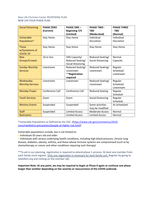# New Life Christian Center REOPENING PLAN NEW LIFE FOUR PHASE PLAN

| <b>Social Distancing</b>                  | <b>PHASE ZERO</b><br>(Current) | <b>PHASE ONE -</b><br><b>Beginning 7/5</b> | <b>PHASE TWO -</b><br><b>TBD</b> | <b>PHASE THREE</b><br>- TBD |
|-------------------------------------------|--------------------------------|--------------------------------------------|----------------------------------|-----------------------------|
| Vulnerable                                | <b>Stay Home</b>               | (Limited)<br><b>Stay Home</b>              | (Moderated)<br>Individual        | (Normal)<br>Individual      |
| Populations*                              |                                |                                            | Discretion                       | Discretion                  |
| <b>Those</b><br>w/Symptoms of<br>COVID-19 | <b>Stay Home</b>               | <b>Stay Home</b>                           | <b>Stay Home</b>                 | <b>Stay Home</b>            |
| <b>Max</b>                                | 10 or less                     | 50% Capacity/                              | Reduced Seating/                 | Normal                      |
| Groups/Crowds                             |                                | Reduced Seating/                           | <b>Social Distancing</b>         | Capacity                    |
|                                           |                                | <b>Social Distancing</b>                   |                                  |                             |
| <b>Sunday Worship</b>                     | Livestream                     | Reduced Seating/                           | Reduced Seating/                 | Regular                     |
| <b>Services</b>                           |                                | Livestream                                 | Livestream                       | Schedule/                   |
|                                           |                                | **Registration                             |                                  | Livestream                  |
|                                           |                                | required                                   |                                  |                             |
| Wednesday                                 | Livestream                     | Livestream                                 | Reduced Seating/                 | Regular                     |
| <b>Worship Services</b>                   |                                |                                            | Livestream                       | Schedule/                   |
|                                           |                                |                                            |                                  | Livestream                  |
| <b>Monday Prayer</b>                      | Conference Call                | Conference Call                            | <b>Reduced Seating</b>           | Regular                     |
|                                           |                                |                                            |                                  | Schedule                    |
| <b>Youth Services</b>                     | Zoom                           | Zoom                                       | <b>Social Distancing</b>         | Regular                     |
|                                           |                                |                                            |                                  | Schedule                    |
| <b>Ministry Events</b>                    | Suspended                      | Suspended                                  | Some activities                  | As Scheduled                |
|                                           |                                |                                            | may be modified                  |                             |
| <b>Staff</b>                              | Suspended                      | <b>Limited Access</b>                      | <b>Moderate Access</b>           | Normal                      |
| <b>Restrooms</b>                          |                                | <b>Limited Access</b>                      | <b>Limited Access</b>            | Normal                      |

\*Vulnerable Populations as Defined by the CDC: [\(https://www.cdc.gov/coronavirus/2019](https://www.cdc.gov/coronavirus/2019-ncov/needextra-precautions/people-at-higher-risk.html) [ncov/needextra-precautions/people-at-higher-risk.html\)](https://www.cdc.gov/coronavirus/2019-ncov/needextra-precautions/people-at-higher-risk.html).

Vulnerable populations include, but is not limited to:

• Individuals 65 years old and older

• Individuals with serious underlying health conditions, including high blood pressure, chronic lung disease, diabetes, obesity, asthma, and those whose immune systems are compromised (such as by chemotherapy or cancer and other conditions requiring such therapy)

\*\*To aid in our planning, registration is required to attend phase 1 services. At least one member from each family must register. Only one registration is necessary for each family unit. Register by going to newlifetn.org and clicking on the member tab.

**Important Note: At any point, we may be required to begin at Phase 0 again or continue one phase longer than another depending on the severity or reoccurrence of the COVID outbreak.**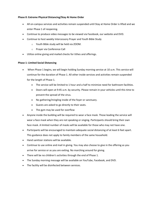# **Phase 0: Extreme Physical Distancing/Stay At Home Order**

- All on-campus services and activities remain suspended until Stay at Home Order is lifted and we enter Phase 1 of reopening.
- Continue to produce video messages to be viewed via Facebook, our website and DVD.
- Continue to host weekly Intercessory Prayer and Youth Bible Study
	- o Youth Bible study will be held via ZOOM.
	- o Prayer via Conference Call
- Utilize online giving and mailed checks for tithes and offerings.

# **Phase 1: Limited Social Distancing**

- When Phase 1 begins, we will begin holding Sunday morning service at 10 a.m. This service will continue for the duration of Phase 1. All other inside services and activities remain suspended for the length of Phase 1.
	- The service will be limited to 1 hour and a half to minimize need for bathroom facilities.
	- Doors will open at 9:45 a.m. by security. Please remain in your vehicles until this time to prevent the spread of the virus.
	- No gathering/mingling inside of the foyer or sanctuary.
	- Guests are asked to go directly to their seats.
	- The gym may be used for overflow
- Anyone inside the building will be required to wear a face mask. Those leading the service will wear a face mask when they are not speaking or singing. Participants should bring their own face mask. A limited number of masks will be available for those who may not have one.
- Participants will be encouraged to maintain adequate social distancing of at least 6 feet apart. This guidance does not apply to family members of the same household.
- Hand sanitizer stations will be available.
- Continue to use online and mail in giving. You may also choose to give in the offering as you arrive for service or as you are exiting. No marching around for giving.
- There will be no children's activities through the end of Phase 1.
- The Sunday morning message will be available on YouTube, Facebook, and DVD.
- The facility will be disinfected between services.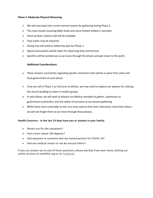## **Phase 2: Moderate Physical Distancing**

- We will ease back into a more normal routine for gathering during Phase 2.
- This may include resuming Bible Study and some limited children's activities
- Hand sanitizer stations will still be available.
- Face masks may be required.
- Giving may still need to follow the plan for Phase 1.
- Special precautions will be taken for observing Holy Communion.
- Specifics will be worked out as we move through the phases and get closer to this point.

## **Additional Considerations:**

- There remains uncertainty regarding specific restrictions that will be in place from state and local government at each phase.
- If we are still in Phase 1 as Fall turns to Winter, we may need to explore our options for utilizing the church building to meet in smaller groups.
- In each phase, we will seek to balance our Biblical mandate to gather, submission to government authorities, and the safety of everyone as we resume gathering.
- While those most vulnerable to the virus may need to limit their interaction more than others, we will not forget them as we move through these phases.

## **Health Concerns - In the last 14 days have you or anyone in your family:**

- Shown any flu-like symptoms?
- Had a fever above 100 degrees?
- Had exposure to someone who has tested positive for COVID-19?
- Had any medical reason to not be around others?

If you can answer yes to any of these questions, please worship from your home utilizing our online services at newlifetn.org or on [Facebook.](https://www.facebook.com/ebcjackson)